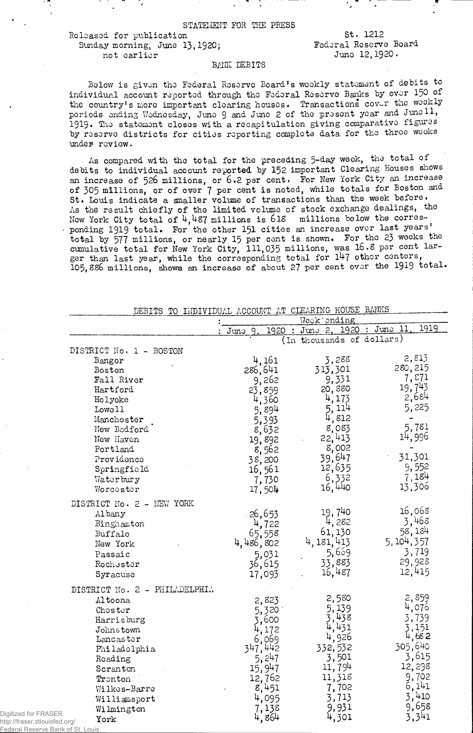STATEMENT FOR THE PRESS

Released for publication Sunday morning, June 13,1920; not earlier

St. 1212 Fedoral Reserve Board Juno 12,1920.

## BANK DEBITS

Below is given the Federal Reserve Board's weekly statement of debits to individual account reported through the Federal Reserve Banks by over 150 of the country's more important clearing houses. Transactions cover the weekly periods ending Wodnesday, June 9 and June 2 of the present year and June 11, 1919. The statement closes with a recapitulation giving comparative figures by reserve districts for cities reporting complete data for the three weeks undes review.

As compared with the total for the preceding 5-day week, the total of debits to individual account reported by 152 important Clearing Houses shows an increase of 526 millions, or 6.2 per cent. For New York City an increase of 305 millions, or of over 7 per cent is noted, while totals for Boston and St. Louis indicate a smaller volume of transactions than the week before. As the result chiefly of the limited volume of stock exchange dealings, the Now York City total of 4,487 millions is 6 IS millions below the corres ponding 1919 total. For the other 151 cities an increase over last years' total by 577 millions, or nearly 15 per cent is shown. For the 23 weeks the cumulative total for New York City, 111,035 millions, was 16.8 per cent larger than last year, while the corresponding total for 147 other centers, 105,886 millions, shows an increase of about 27 per cent over the 1919 total.

| DEBITS TO INDIVIDUAL ACCOUNT AT CLEARING HOUSE BANKS                                                                                                                                                       |                                                                                                                       |                                                                                                                       |                                                                                                                      |  |  |
|------------------------------------------------------------------------------------------------------------------------------------------------------------------------------------------------------------|-----------------------------------------------------------------------------------------------------------------------|-----------------------------------------------------------------------------------------------------------------------|----------------------------------------------------------------------------------------------------------------------|--|--|
|                                                                                                                                                                                                            |                                                                                                                       | Week ending                                                                                                           |                                                                                                                      |  |  |
|                                                                                                                                                                                                            | June<br>1920<br>$\ddot{\cdot}$                                                                                        | June 2, 1920 : June 11                                                                                                | 1919                                                                                                                 |  |  |
|                                                                                                                                                                                                            |                                                                                                                       | (In thousands of dollars)                                                                                             |                                                                                                                      |  |  |
| DISTRICT No. 1 - BOSTON                                                                                                                                                                                    |                                                                                                                       |                                                                                                                       |                                                                                                                      |  |  |
| Bangor<br>Boston<br>Fall River<br>Hartford<br>Holyoke<br>Lowell<br>Manchester<br>New Bedford<br>New Haven<br>Portland<br>Providence<br>Springfield                                                         | 4,161<br>286,641<br>9,262<br>23,859<br>4,360<br>5,894<br>5,393<br>8,632<br>19,892<br>8,562<br>38,200<br>16,561        | 3,288<br>313,301<br>9,331<br>20,880<br>4,173<br>5, 114<br>4,812<br>8,083<br>22,413<br>8,002<br>39,647<br>12,635       | 2,813<br>280,215<br>7,871<br>19,743<br>2,684<br>5,225<br>5,781<br>14,996<br>31,301<br>9,552                          |  |  |
| Waterbury<br>Worcester                                                                                                                                                                                     | 7,730<br>17,504                                                                                                       | 6,332<br>16,440                                                                                                       | 7,184<br>13,306                                                                                                      |  |  |
| DISTRICT No. 2 - NEW YORK<br>Al bany<br>Binghamton<br>Buffalo<br>New York<br>Passaic<br>Rochester<br>Syracuse                                                                                              | 26,653<br>4,722<br>65,558<br>4,486,802<br>5,031<br>36,615<br>17,093                                                   | 19,740<br>4,282<br>61,130<br>4, 181, 413<br>5,669<br>33,883<br>16,487                                                 | 16,068<br>3,468<br>58, 184<br>5, 104, 357<br>3,719<br>29,928<br>12,415                                               |  |  |
| DISTRICT No. 2 - PHILADELPHIA<br>Altoona<br>Choster<br>Harrisburg<br>Johnstown<br>Lancaster<br>Philadelphia<br>Roading<br>Scranton<br>Tronton<br>Wilkes-Barre<br>Williamsport<br>Wilmington<br>York<br>ra/ | 2,823<br>5,320<br>3,600<br>4,172<br>6,069<br>347,442<br>5,247<br>15,947<br>12,762<br>8,451<br>4,095<br>7,138<br>4,864 | 2,580<br>5,139<br>3,438<br>4,431<br>4,926<br>332,532<br>3,501<br>11,794<br>11,318<br>7,702<br>3,713<br>9,931<br>4,301 | 2,859<br>4,076<br>3,739<br>3,151<br>4,682<br>305,640<br>3,615<br>12,298<br>9,702<br>6,141<br>3,410<br>9,658<br>3,341 |  |  |

http://fraser.stlouisfed.or Federal Reserve Bank of St. Louis

Digitized for FRASER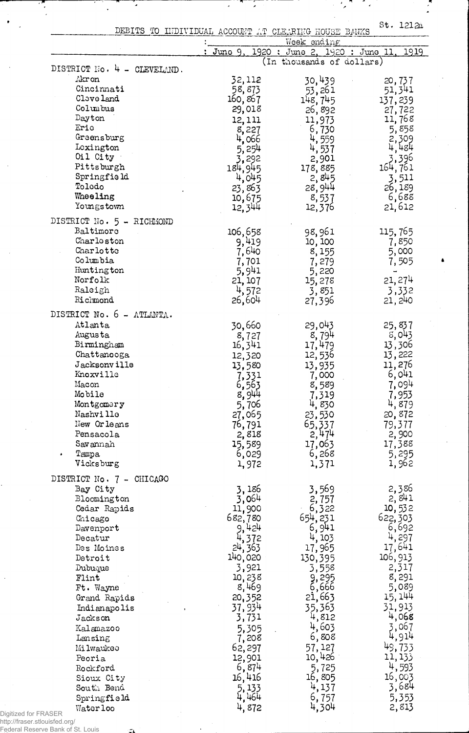DEBITS TO INDIVIDUAL ACCOUNT AT CLEARING HOUSE BANKS St' *12l2a*

┱ J,

¥

 $\ddot{\phantom{1}}$ 

 $\frac{1}{2}$ 

 $\mathcal{L}_{\mathcal{F}}$ 

 $\mathcal{F} \subset \mathcal{F}$ 

|                                |           | Week ending                    |                  |
|--------------------------------|-----------|--------------------------------|------------------|
|                                | : Juno 9. | 1920 : June 2, 1920 : June 11, | 1919             |
| DISTRICT No. 4 -<br>CLEVELAND. |           | (In thousands of dollars)      |                  |
| Akr on                         | 32,112    | 30,439                         |                  |
| Cincinnati                     | 58,873    | 53,261                         | 20,737<br>51,341 |
| Clave land                     | 160,867   | 148, 745                       | 137,239          |
| Columbus                       | 29,018    | 26,892                         | 27,722           |
| Dayton                         | 12, 111   | 11,973                         | 11,768           |
| Eric                           | 8,227     | 6,730                          | 5,858            |
| Greensburg                     | 4,066     | $\frac{4}{7}$ , 559            | 2,309            |
| Lexington                      | 5, 254    | 4,537                          | 4,484            |
| Oil City                       | 3,292     | 2,901                          | 3,396            |
| Pittsburgh                     | 184,945   | 178,885                        | 164,761          |
| Springfield                    | 4,045     | 2,845                          | 3,511            |
| Tolodo                         | 23,863    | 28,944                         | 26,189           |
| Wheeling                       | 10,675    | 8,537                          | 6,688            |
| Youngstown                     | 12,344    | 12,376                         | 21,612           |
|                                |           |                                |                  |
| DISTRICT No. 5 - RICHMOND      |           |                                |                  |
| Baltimore                      | 106,658   | 98,961                         | 115,765          |
| Charloston                     | 9,419     | 10, 100                        | 7,850            |
| Charlotte                      | 7,640     | 8,155                          | 5,000            |
| Columbia                       | 7,701     | 7,279                          | 7,505            |
| Huntington                     | 5,941     | 5,220                          |                  |
| Norfolk                        | 21, 107   | 15,278                         | 21, 274          |
| Raleigh                        | 4,572     | 3,851                          | 3,332            |
| Richmond                       | 26,604    | 27,396                         | 21, 240          |
| DISTRICT No. 6 - ATLANTA.      |           |                                |                  |
| Atlanta                        | 30,660    | 29,043                         | 25,837           |
| Augusta                        | 8,727     | 8,794                          | 5,043            |
| Birmingham                     | 16,341    | 17,479                         | 13,306           |
| Chattanooga                    | 12,320    | 12,536                         | 13,222           |
| Jacksonville                   | 13,580    | 13,935                         | 11,276           |
| Knoxville                      | 7,331     | 7,000                          | 6,041            |
| Macon                          | 6,563     | 8,589                          | 7,094            |
| Mobile                         | 8,944     | 7,319                          | 7,953            |
| Montgomery                     | 5,706     | 4,830                          | 4,879            |
| Nashville                      | 27,065    | 23,530                         | 20,872           |
| New Orleans                    | 76,791    | 65,337                         | 79,377           |
| Pensacola                      | 2,818     | 2,474                          | 2,900            |
| Savannah                       | 15,589    | 17,063                         | 17,388           |
| Tampa                          | 6,029     | 6,268                          | 5,295            |
| Vicksburg                      | 1,972     | 1,371                          | 1,962            |
| DISTRICT No. 7 - CHICAGO       |           |                                |                  |
| Bay City                       | 3,186     | 3,569                          | 2,386            |
| Bloomington                    | 3,064     | 2,757                          | 2,841            |
| Cedar Rapids                   | 11,900    | 6,322                          | 10,532           |
| Chicago                        | 682,780   | 654, 231                       | 622,303          |
| Davenport                      | 9,424     | 6,941                          | 6,692            |
| Decatur                        | 4,372     | 4, 103                         | 4,297            |
| Des Moines                     | 24, 363   | 17,965                         | 17,641           |
| Detroit                        | 140,020   | 130,395                        | 106, 913         |
| Dubuque                        | 3,921     | 3,558                          | 2,317            |
| Flint                          | 10,238    | 9,295                          | 8,291            |
| Ft. Wayne                      | 8,469     | 6,666                          | 5,089            |
| Grand Rapids                   | 20,352    | 21,663                         | 15, 144          |
| Indianapolis                   | 37,934    | 35,363                         | 31,913           |
| Jackson                        | 3,731     | 4,812                          | 4,068            |
| Kalamazoo                      | 5,305     | 4,603                          | 3,067            |
| Lansing                        | 7,208     | 6,808                          | 4,914            |
| Milwaukeo                      | 62,297    | 57, 127                        | 49,733           |
| Peoria                         | 12,901    | 10,426                         | 11, 133          |
| Rockford                       | 6,874     | 5,725                          | 4,593            |
| Sioux City                     | 16,416    | 16,805                         | 16,003           |
| South Bend                     | 5,133     | 4,137                          | 3,684            |
| Springfield                    | 4,464     | 6,757                          | 5,353            |
| Waterloo                       | 4,872     | 4,304                          | 2,813            |
| Digitized for FRASER           |           |                                |                  |
| http://fraser.stlouisfed.org/  |           |                                |                  |

Federal Reserve Bank of St. Louis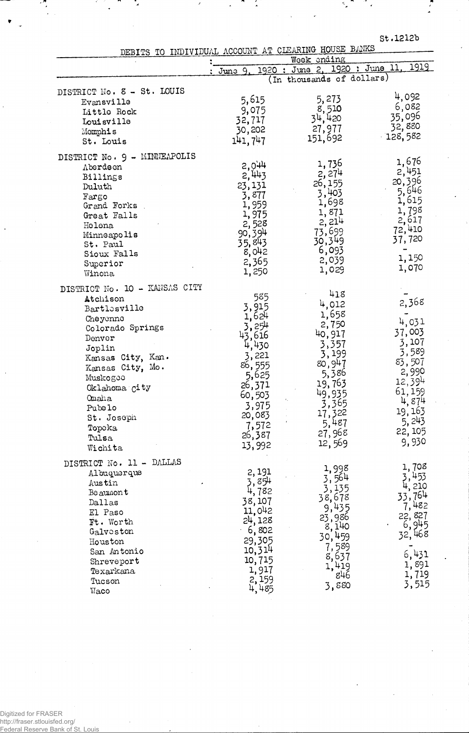| St.1212b |  |  |  |
|----------|--|--|--|
|          |  |  |  |

 $\mathcal{S}_{\mathbf{z}}$ м. 17

DEBITS TO INDIVIDUAL ACCOUNT AT CLEARING HOUSE BANKS

|                                                                                                                                                                                                                                                           | Week ending                                                                                                                                     |                                                                                                                                                   |                                                                                                                                          |
|-----------------------------------------------------------------------------------------------------------------------------------------------------------------------------------------------------------------------------------------------------------|-------------------------------------------------------------------------------------------------------------------------------------------------|---------------------------------------------------------------------------------------------------------------------------------------------------|------------------------------------------------------------------------------------------------------------------------------------------|
|                                                                                                                                                                                                                                                           | : June 9.                                                                                                                                       | 1920 : June 2, 1920 : June 11.                                                                                                                    | 1919                                                                                                                                     |
|                                                                                                                                                                                                                                                           |                                                                                                                                                 | (In thousands of dollars)                                                                                                                         |                                                                                                                                          |
| DISTRICT No. 8 - St. LOUIS<br>Evansville<br>Little Rock<br>Louisville<br>$\mathbb M$ omphis<br>St. Louis                                                                                                                                                  | 5,615<br>9,075<br>32,717<br>30,202<br>141, 747                                                                                                  | 5,273<br>8,510<br>34,420<br>27,977<br>151,692                                                                                                     | 4,092<br>6,082<br>35,096<br>32,880<br>$-128,582$                                                                                         |
| DISTRICT No. 9 - MINNEAPOLIS<br>Aberdeen<br>Billings<br>Duluth<br>Fargo<br>Grand Forks<br>Great Falls<br>Helena<br>Minneapolis<br>St. Paul<br>Sioux Falls<br>Superior<br>Winona                                                                           | 2,944<br>2,443<br>23,131<br>3,877<br>1,959<br>1,975<br>2, 528<br>90, 394<br>35,843<br>8,042<br>2,365<br>1,250                                   | 1,736<br>2,274<br>26,155<br>3,403<br>1,698<br>1,871<br>2,214<br>73,699<br>30,349<br>6,093<br>2,039<br>1,029                                       | 1,676<br>2,451<br>20,396<br>5,646<br>1,615<br>1,798<br>2,617<br>72,410<br>37,720<br>1,150<br>1,070                                       |
| DISTRICT No. 10 - KANSAS CITY<br>Atchison<br>Bartlesville<br>Cheyenne<br>Colorado Springs<br>Denver<br>Joplin<br>Kansas City, Kan.<br>Kansas City, Mo.<br>Muskogee<br>Oklahoma city<br><b>Omaha</b><br>Pubelo<br>St. Joseph<br>Topoka<br>Tulsa<br>Wichita | 585<br>3,915<br>1,624<br>3,254<br>43,616<br>430<br>3,221<br>86,555<br>5,625<br>26,371<br>60,503<br>3,975<br>20,083<br>7,572<br>26,387<br>13,992 | 418<br>4,012<br>1,658<br>2,750<br>40,917<br>3,357<br>3,199<br>80,947<br>5,386<br>19,763<br>49,935<br>3,365<br>17,322<br>5,487<br>27,968<br>12,569 | 2,368<br>4,031<br>37,003<br>3,107<br>3,589<br>83,507<br>2,990<br>$12,39^{4}$<br>61,159<br>4,874<br>19, 163<br>5, 243<br>22, 105<br>9,930 |
| DISTRICT No. 11 - DALLAS<br>Albuquerque<br>Austin<br>$\mathtt{Beam}$<br>Dallas<br>El Paso<br>Ft. Worth<br>Galveston<br>Houston<br>San Antonio<br>Shreveport<br>Texarkana<br>Tucson<br>Waco                                                                | 2,191<br>3,8 <del>54</del><br>4,782<br>38,107<br>11,042<br>24,128<br>6,802<br>29,305<br>10,314<br>10,715<br>1,917<br>2,159<br>4,485             | 1,998<br>3,564<br>3,135<br>38,678<br>9,435<br>23,986<br>8,140<br>30,459<br>7,589<br>8,637<br>1,419<br>846<br>3,880                                | 1,708<br>3,453<br>4, 210<br>33,764<br>7,482<br>22, 827<br>6,945<br>32,468<br>6,431<br>1,891<br>1,719<br>3,515                            |